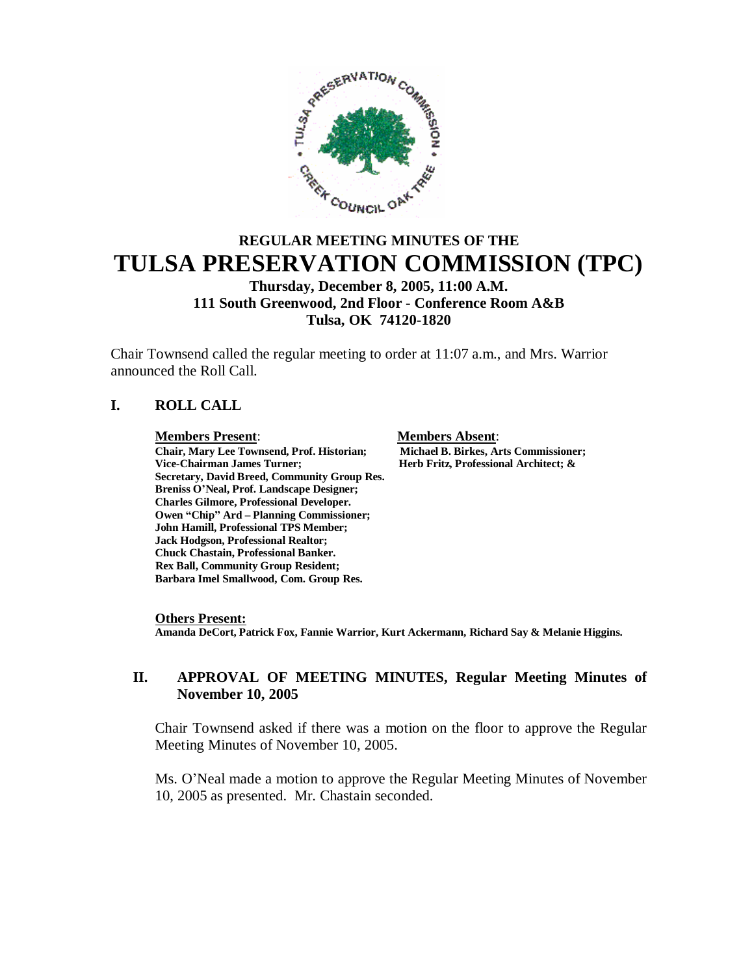

# **REGULAR MEETING MINUTES OF THE TULSA PRESERVATION COMMISSION (TPC)**

**Thursday, December 8, 2005, 11:00 A.M. 111 South Greenwood, 2nd Floor - Conference Room A&B Tulsa, OK 74120-1820**

Chair Townsend called the regular meeting to order at 11:07 a.m., and Mrs. Warrior announced the Roll Call.

#### **I. ROLL CALL**

#### **Members Present**: **Members Absent**:

**Chair, Mary Lee Townsend, Prof. Historian; Michael B. Birkes, Arts Commissioner; Vice-Chairman James Turner; Herb Fritz, Professional Architect; & Secretary, David Breed, Community Group Res. Breniss O'Neal, Prof. Landscape Designer; Charles Gilmore, Professional Developer. Owen "Chip" Ard – Planning Commissioner; John Hamill, Professional TPS Member; Jack Hodgson, Professional Realtor; Chuck Chastain, Professional Banker. Rex Ball, Community Group Resident; Barbara Imel Smallwood, Com. Group Res.**

#### **Others Present:**

**Amanda DeCort, Patrick Fox, Fannie Warrior, Kurt Ackermann, Richard Say & Melanie Higgins.**

#### **II. APPROVAL OF MEETING MINUTES, Regular Meeting Minutes of November 10, 2005**

Chair Townsend asked if there was a motion on the floor to approve the Regular Meeting Minutes of November 10, 2005.

Ms. O'Neal made a motion to approve the Regular Meeting Minutes of November 10, 2005 as presented. Mr. Chastain seconded.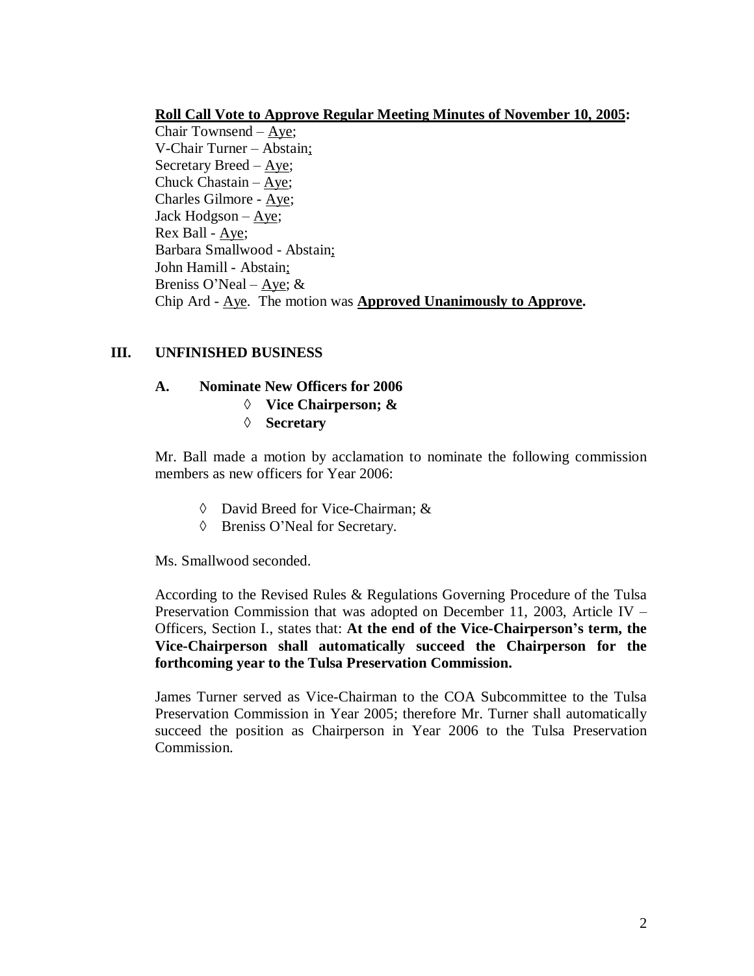#### **Roll Call Vote to Approve Regular Meeting Minutes of November 10, 2005:**

Chair Townsend –Aye; V-Chair Turner –Abstain; Secretary Breed –Aye; Chuck Chastain –  $Aye$ ; Charles Gilmore - Aye; Jack Hodgson –  $Aye$ ; Rex Ball - Aye; Barbara Smallwood - Abstain; John Hamill - Abstain; Breniss O'Neal –  $\angle$ Aye; & Chip Ard - Aye. The motion was **Approved Unanimously to Approve.**

#### **III. UNFINISHED BUSINESS**

#### **A. Nominate New Officers for 2006**

- **Vice Chairperson; &**
- **Secretary**

Mr. Ball made a motion by acclamation to nominate the following commission members as new officers for Year 2006:

- David Breed for Vice-Chairman; &
- Breniss O'Neal for Secretary.

Ms. Smallwood seconded.

According to the Revised Rules & Regulations Governing Procedure of the Tulsa Preservation Commission that was adopted on December 11, 2003, Article IV – Officers, Section I., states that: **At the end of the Vice-Chairperson's term, the Vice-Chairperson shall automatically succeed the Chairperson for the forthcoming year to the Tulsa Preservation Commission.** 

James Turner served as Vice-Chairman to the COA Subcommittee to the Tulsa Preservation Commission in Year 2005; therefore Mr. Turner shall automatically succeed the position as Chairperson in Year 2006 to the Tulsa Preservation Commission.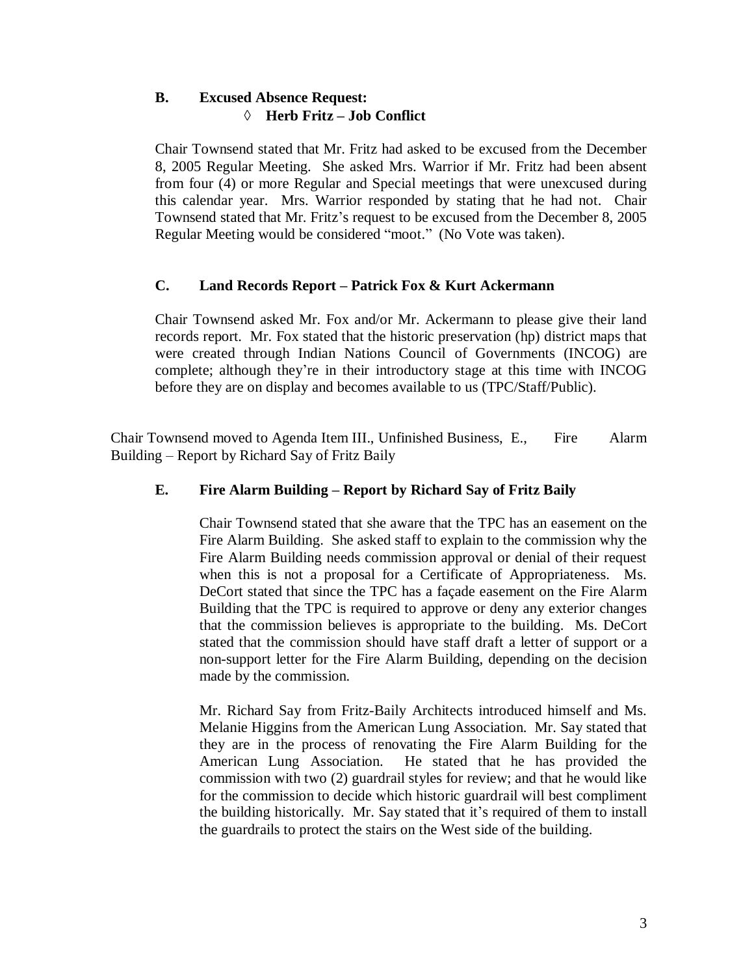# **B. Excused Absence Request: Herb Fritz – Job Conflict**

Chair Townsend stated that Mr. Fritz had asked to be excused from the December 8, 2005 Regular Meeting. She asked Mrs. Warrior if Mr. Fritz had been absent from four (4) or more Regular and Special meetings that were unexcused during this calendar year. Mrs. Warrior responded by stating that he had not. Chair Townsend stated that Mr. Fritz's request to be excused from the December 8, 2005 Regular Meeting would be considered "moot." (No Vote was taken).

#### **C. Land Records Report – Patrick Fox & Kurt Ackermann**

Chair Townsend asked Mr. Fox and/or Mr. Ackermann to please give their land records report. Mr. Fox stated that the historic preservation (hp) district maps that were created through Indian Nations Council of Governments (INCOG) are complete; although they're in their introductory stage at this time with INCOG before they are on display and becomes available to us (TPC/Staff/Public).

Chair Townsend moved to Agenda Item III., Unfinished Business, E., Fire Alarm Building – Report by Richard Say of Fritz Baily

# **E. Fire Alarm Building – Report by Richard Say of Fritz Baily**

Chair Townsend stated that she aware that the TPC has an easement on the Fire Alarm Building. She asked staff to explain to the commission why the Fire Alarm Building needs commission approval or denial of their request when this is not a proposal for a Certificate of Appropriateness. Ms. DeCort stated that since the TPC has a façade easement on the Fire Alarm Building that the TPC is required to approve or deny any exterior changes that the commission believes is appropriate to the building. Ms. DeCort stated that the commission should have staff draft a letter of support or a non-support letter for the Fire Alarm Building, depending on the decision made by the commission.

Mr. Richard Say from Fritz-Baily Architects introduced himself and Ms. Melanie Higgins from the American Lung Association. Mr. Say stated that they are in the process of renovating the Fire Alarm Building for the American Lung Association. He stated that he has provided the commission with two (2) guardrail styles for review; and that he would like for the commission to decide which historic guardrail will best compliment the building historically. Mr. Say stated that it's required of them to install the guardrails to protect the stairs on the West side of the building.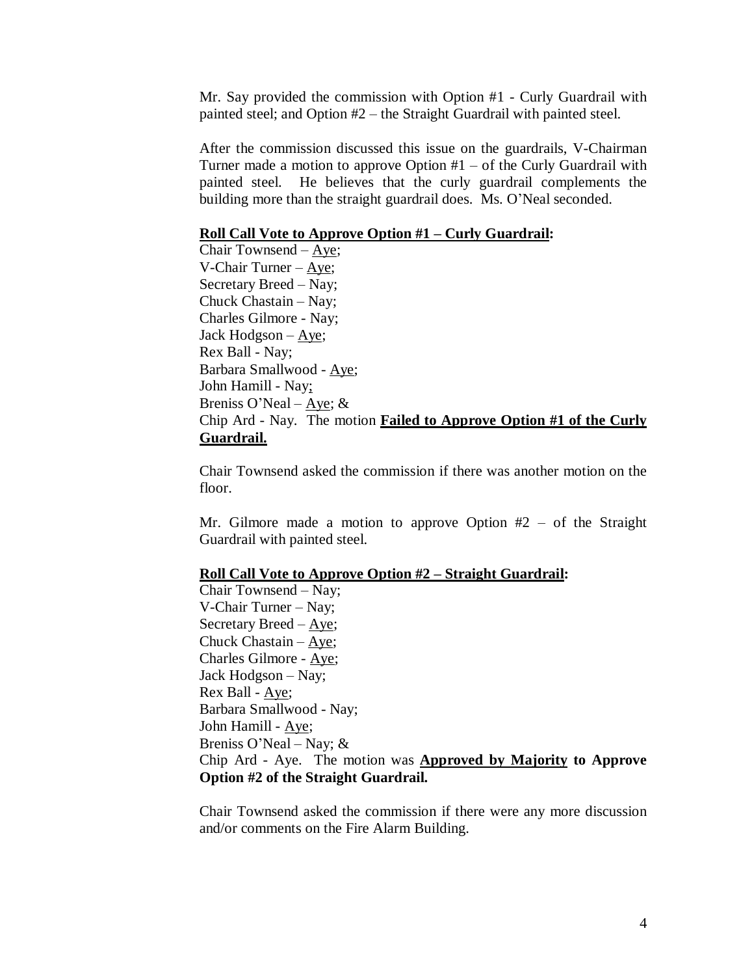Mr. Say provided the commission with Option #1 - Curly Guardrail with painted steel; and Option #2 – the Straight Guardrail with painted steel.

After the commission discussed this issue on the guardrails, V-Chairman Turner made a motion to approve Option  $#1 -$  of the Curly Guardrail with painted steel. He believes that the curly guardrail complements the building more than the straight guardrail does. Ms. O'Neal seconded.

#### **Roll Call Vote to Approve Option #1 – Curly Guardrail:**

Chair Townsend –Aye; V-Chair Turner –Aye; Secretary Breed –Nay; Chuck Chastain – Nay; Charles Gilmore - Nay; Jack Hodgson –Aye; Rex Ball - Nay; Barbara Smallwood - Aye; John Hamill - Nay; Breniss O'Neal – Aye;  $&$ Chip Ard - Nay. The motion **Failed to Approve Option #1 of the Curly Guardrail.**

Chair Townsend asked the commission if there was another motion on the floor.

Mr. Gilmore made a motion to approve Option  $#2 -$  of the Straight Guardrail with painted steel.

#### **Roll Call Vote to Approve Option #2 – Straight Guardrail:**

Chair Townsend –Nay; V-Chair Turner – Nay; Secretary Breed –Aye; Chuck Chastain  $-$  Aye; Charles Gilmore - Aye; Jack Hodgson – Nay; Rex Ball - Aye; Barbara Smallwood - Nay; John Hamill - Aye; Breniss O'Neal – Nay;  $\&$ Chip Ard - Aye. The motion was **Approved by Majority to Approve Option #2 of the Straight Guardrail.**

Chair Townsend asked the commission if there were any more discussion and/or comments on the Fire Alarm Building.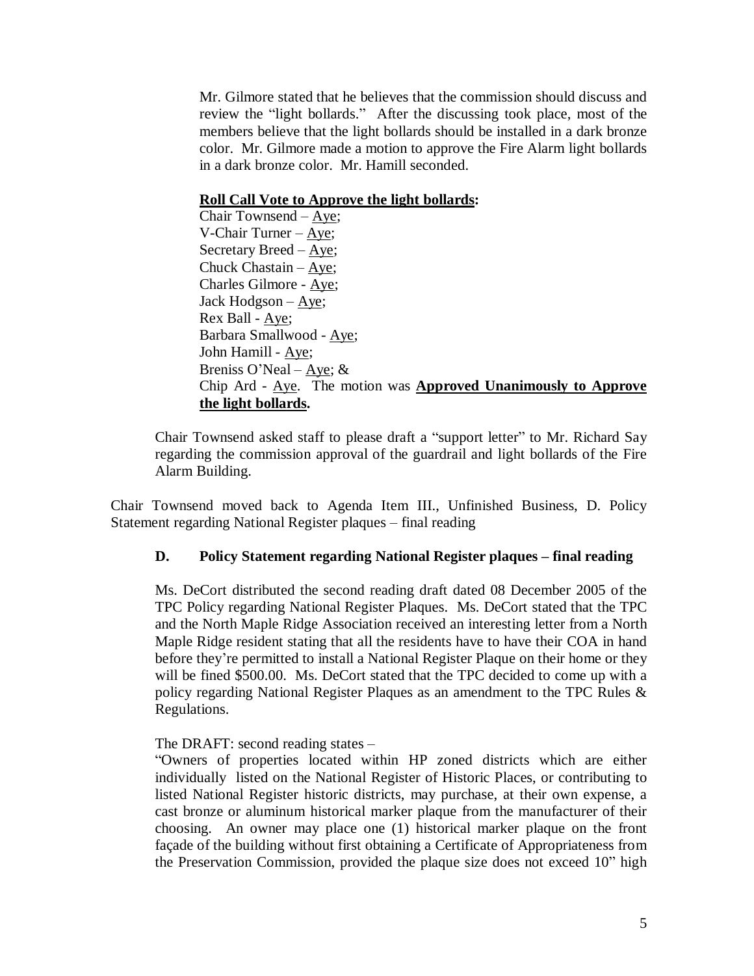Mr. Gilmore stated that he believes that the commission should discuss and review the "light bollards." After the discussing took place, most of the members believe that the light bollards should be installed in a dark bronze color. Mr. Gilmore made a motion to approve the Fire Alarm light bollards in a dark bronze color. Mr. Hamill seconded.

#### **Roll Call Vote to Approve the light bollards:**

Chair Townsend –  $Aye$ ; V-Chair Turner –Aye; Secretary Breed –Aye; Chuck Chastain –Aye; Charles Gilmore - Aye; Jack Hodgson –Aye; Rex Ball - Aye; Barbara Smallwood - Aye; John Hamill - Aye; Breniss O'Neal – Aye;  $&$ Chip Ard - Aye. The motion was **Approved Unanimously to Approve the light bollards.**

Chair Townsend asked staff to please draft a "support letter"to Mr. Richard Say regarding the commission approval of the guardrail and light bollards of the Fire Alarm Building.

Chair Townsend moved back to Agenda Item III., Unfinished Business, D. Policy Statement regarding National Register plaques – final reading

# **D. Policy Statement regarding National Register plaques – final reading**

Ms. DeCort distributed the second reading draft dated 08 December 2005 of the TPC Policy regarding National Register Plaques. Ms. DeCort stated that the TPC and the North Maple Ridge Association received an interesting letter from a North Maple Ridge resident stating that all the residents have to have their COA in hand before they're permitted to install a National Register Plaque on their home or they will be fined \$500.00. Ms. DeCort stated that the TPC decided to come up with a policy regarding National Register Plaques as an amendment to the TPC Rules & Regulations.

The DRAFT: second reading states –

"Owners of properties located within HP zoned districts which are either individually listed on the National Register of Historic Places, or contributing to listed National Register historic districts, may purchase, at their own expense, a cast bronze or aluminum historical marker plaque from the manufacturer of their choosing. An owner may place one (1) historical marker plaque on the front façade of the building without first obtaining a Certificate of Appropriateness from the Preservation Commission, provided the plaque size does not exceed 10" high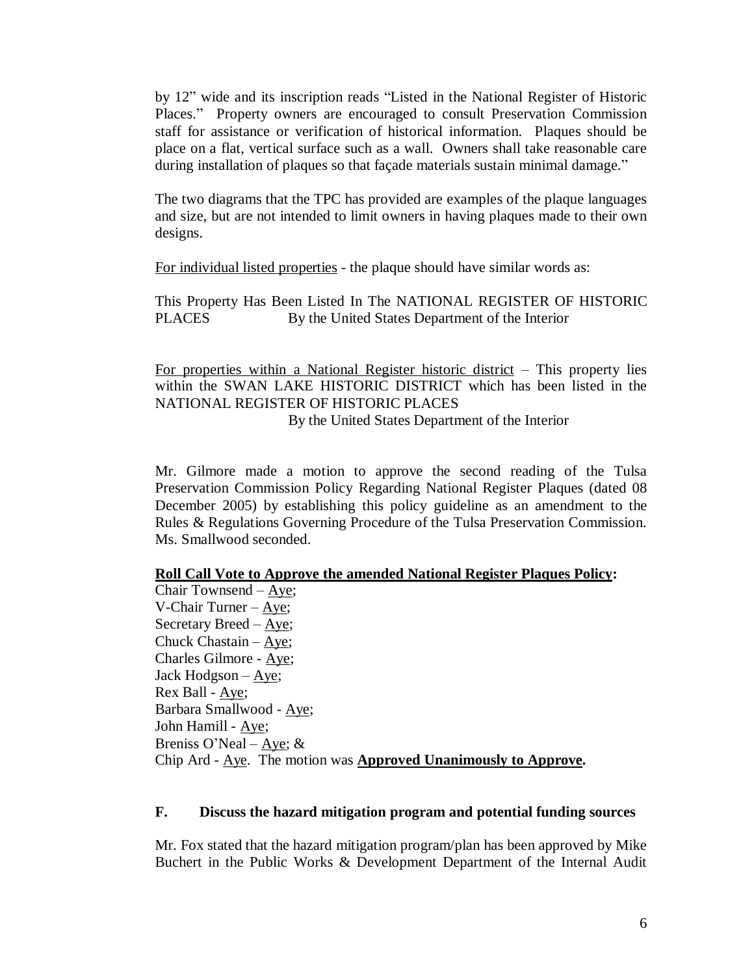by 12" wide and its inscription reads "Listed in the National Register of Historic Places." Property owners are encouraged to consult Preservation Commission staff for assistance or verification of historical information. Plaques should be place on a flat, vertical surface such as a wall. Owners shall take reasonable care during installation of plaques so that façade materials sustain minimal damage."

The two diagrams that the TPC has provided are examples of the plaque languages and size, but are not intended to limit owners in having plaques made to their own designs.

For individual listed properties - the plaque should have similar words as:

This Property Has Been Listed In The NATIONAL REGISTER OF HISTORIC PLACES By the United States Department of the Interior

For properties within a National Register historic district – This property lies within the SWAN LAKE HISTORIC DISTRICT which has been listed in the NATIONAL REGISTER OF HISTORIC PLACES By the United States Department of the Interior

Mr. Gilmore made a motion to approve the second reading of the Tulsa Preservation Commission Policy Regarding National Register Plaques (dated 08 December 2005) by establishing this policy guideline as an amendment to the Rules & Regulations Governing Procedure of the Tulsa Preservation Commission. Ms. Smallwood seconded.

#### **Roll Call Vote to Approve the amended National Register Plaques Policy:**

Chair Townsend –Aye; V-Chair Turner –Aye; Secretary Breed –Aye; Chuck Chastain –Aye; Charles Gilmore - Aye; Jack Hodgson –  $\angle$ Rex Ball - Aye; Barbara Smallwood - Aye; John Hamill - Aye; Breniss O'Neal – Aye;  $&$ Chip Ard - Aye. The motion was **Approved Unanimously to Approve.**

#### **F. Discuss the hazard mitigation program and potential funding sources**

Mr. Fox stated that the hazard mitigation program/plan has been approved by Mike Buchert in the Public Works & Development Department of the Internal Audit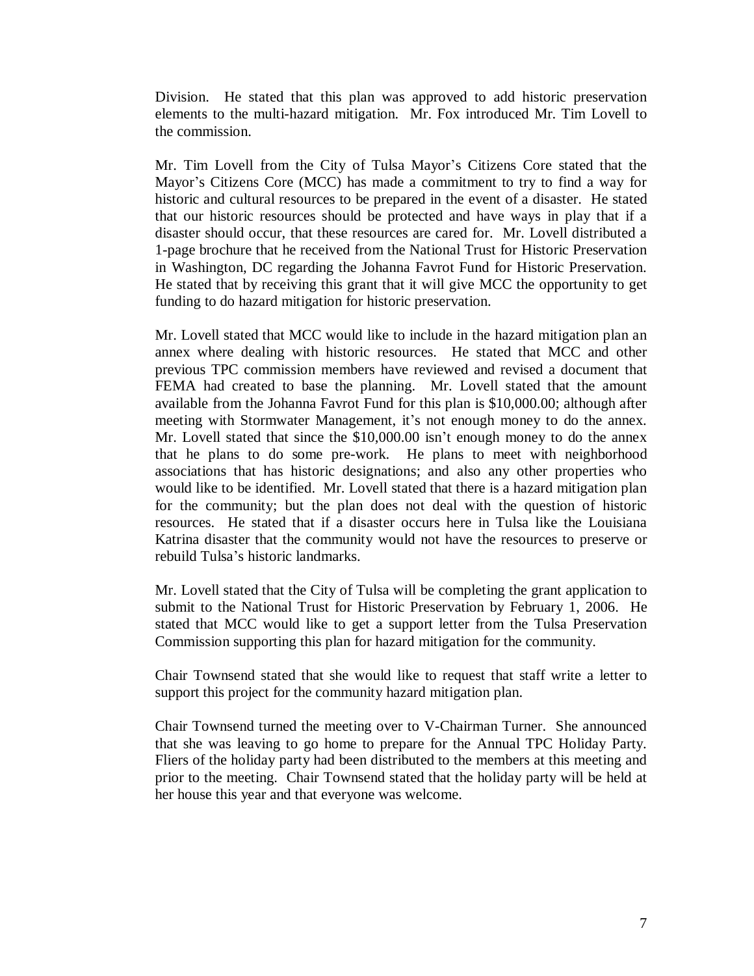Division. He stated that this plan was approved to add historic preservation elements to the multi-hazard mitigation. Mr. Fox introduced Mr. Tim Lovell to the commission.

Mr. Tim Lovell from the City of Tulsa Mayor's Citizens Core stated that the Mayor's Citizens Core (MCC) has made a commitment to try to find a way for historic and cultural resources to be prepared in the event of a disaster. He stated that our historic resources should be protected and have ways in play that if a disaster should occur, that these resources are cared for. Mr. Lovell distributed a 1-page brochure that he received from the National Trust for Historic Preservation in Washington, DC regarding the Johanna Favrot Fund for Historic Preservation. He stated that by receiving this grant that it will give MCC the opportunity to get funding to do hazard mitigation for historic preservation.

Mr. Lovell stated that MCC would like to include in the hazard mitigation plan an annex where dealing with historic resources. He stated that MCC and other previous TPC commission members have reviewed and revised a document that FEMA had created to base the planning. Mr. Lovell stated that the amount available from the Johanna Favrot Fund for this plan is \$10,000.00; although after meeting with Stormwater Management, it's not enough money to do the annex. Mr. Lovell stated that since the \$10,000.00 isn't enough money to do the annex that he plans to do some pre-work. He plans to meet with neighborhood associations that has historic designations; and also any other properties who would like to be identified. Mr. Lovell stated that there is a hazard mitigation plan for the community; but the plan does not deal with the question of historic resources. He stated that if a disaster occurs here in Tulsa like the Louisiana Katrina disaster that the community would not have the resources to preserve or rebuild Tulsa's historic landmarks.

Mr. Lovell stated that the City of Tulsa will be completing the grant application to submit to the National Trust for Historic Preservation by February 1, 2006. He stated that MCC would like to get a support letter from the Tulsa Preservation Commission supporting this plan for hazard mitigation for the community.

Chair Townsend stated that she would like to request that staff write a letter to support this project for the community hazard mitigation plan.

Chair Townsend turned the meeting over to V-Chairman Turner. She announced that she was leaving to go home to prepare for the Annual TPC Holiday Party. Fliers of the holiday party had been distributed to the members at this meeting and prior to the meeting. Chair Townsend stated that the holiday party will be held at her house this year and that everyone was welcome.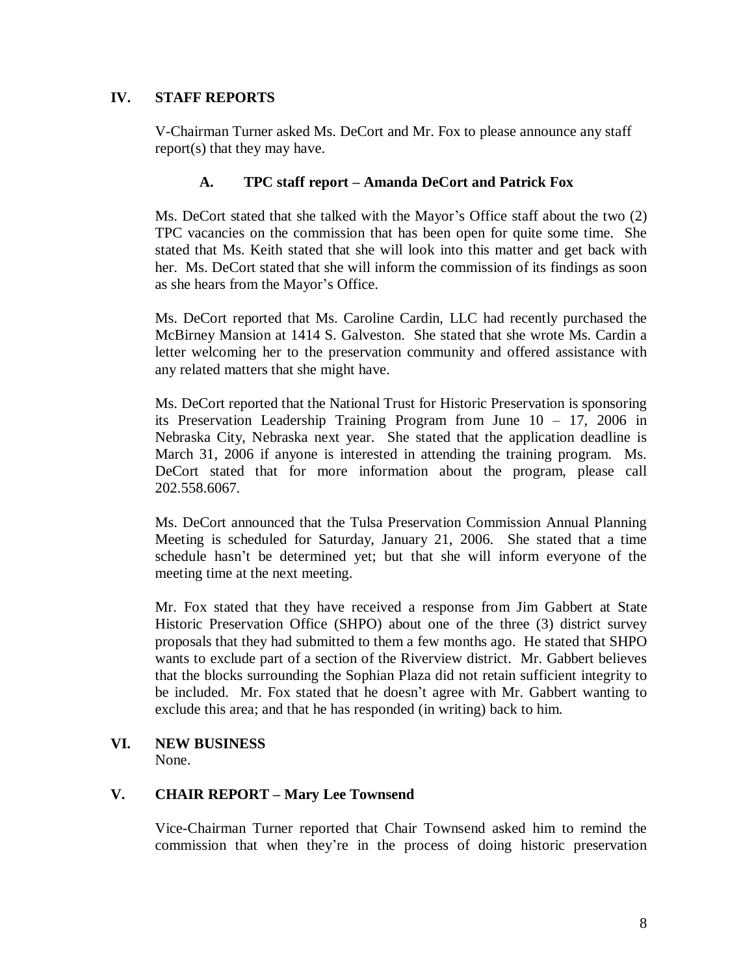# **IV. STAFF REPORTS**

V-Chairman Turner asked Ms. DeCort and Mr. Fox to please announce any staff report(s) that they may have.

### **A. TPC staff report – Amanda DeCort and Patrick Fox**

Ms. DeCort stated that she talked with the Mayor's Office staff about the two (2) TPC vacancies on the commission that has been open for quite some time. She stated that Ms. Keith stated that she will look into this matter and get back with her. Ms. DeCort stated that she will inform the commission of its findings as soon as she hears from the Mayor's Office.

Ms. DeCort reported that Ms. Caroline Cardin, LLC had recently purchased the McBirney Mansion at 1414 S. Galveston. She stated that she wrote Ms. Cardin a letter welcoming her to the preservation community and offered assistance with any related matters that she might have.

Ms. DeCort reported that the National Trust for Historic Preservation is sponsoring its Preservation Leadership Training Program from June 10 – 17, 2006 in Nebraska City, Nebraska next year. She stated that the application deadline is March 31, 2006 if anyone is interested in attending the training program. Ms. DeCort stated that for more information about the program, please call 202.558.6067.

Ms. DeCort announced that the Tulsa Preservation Commission Annual Planning Meeting is scheduled for Saturday, January 21, 2006. She stated that a time schedule hasn't be determined yet; but that she will inform everyone of the meeting time at the next meeting.

Mr. Fox stated that they have received a response from Jim Gabbert at State Historic Preservation Office (SHPO) about one of the three (3) district survey proposals that they had submitted to them a few months ago. He stated that SHPO wants to exclude part of a section of the Riverview district. Mr. Gabbert believes that the blocks surrounding the Sophian Plaza did not retain sufficient integrity to be included. Mr. Fox stated that he doesn't agree with Mr. Gabbert wanting to exclude this area; and that he has responded (in writing) back to him.

#### **VI. NEW BUSINESS**

None.

# **V. CHAIR REPORT – Mary Lee Townsend**

Vice-Chairman Turner reported that Chair Townsend asked him to remind the commission that when they're in the process of doing historic preservation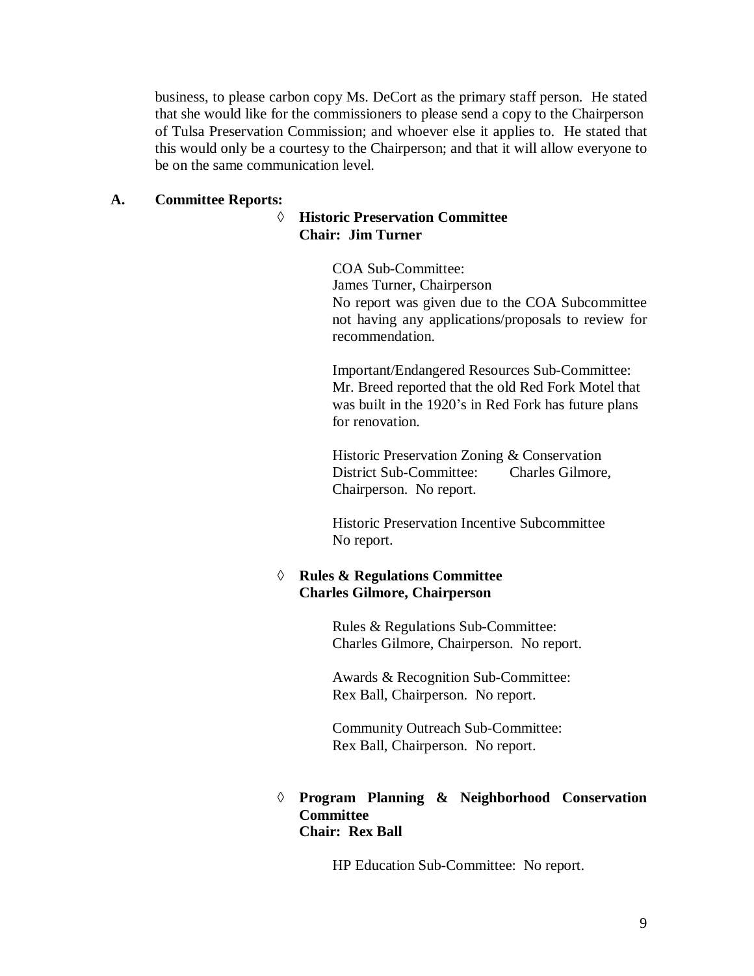business, to please carbon copy Ms. DeCort as the primary staff person. He stated that she would like for the commissioners to please send a copy to the Chairperson of Tulsa Preservation Commission; and whoever else it applies to. He stated that this would only be a courtesy to the Chairperson; and that it will allow everyone to be on the same communication level.

### **A. Committee Reports:**

# **Historic Preservation Committee Chair: Jim Turner**

COA Sub-Committee: James Turner, Chairperson No report was given due to the COA Subcommittee not having any applications/proposals to review for recommendation.

Important/Endangered Resources Sub-Committee: Mr. Breed reported that the old Red Fork Motel that was built in the 1920's in Red Fork has future plans for renovation.

Historic Preservation Zoning & Conservation District Sub-Committee: Charles Gilmore, Chairperson. No report.

Historic Preservation Incentive Subcommittee No report.

# **Rules & Regulations Committee Charles Gilmore, Chairperson**

Rules & Regulations Sub-Committee: Charles Gilmore, Chairperson. No report.

Awards & Recognition Sub-Committee: Rex Ball, Chairperson. No report.

Community Outreach Sub-Committee: Rex Ball, Chairperson. No report.

# **Program Planning & Neighborhood Conservation Committee Chair: Rex Ball**

HP Education Sub-Committee: No report.